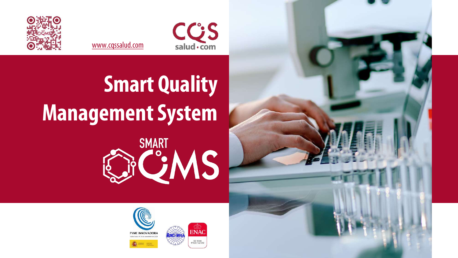



**ENAC** 

ISO 15189<br>V°659 / LE1318

[www.cqssalud.com](http://www.cqssalud.com/)





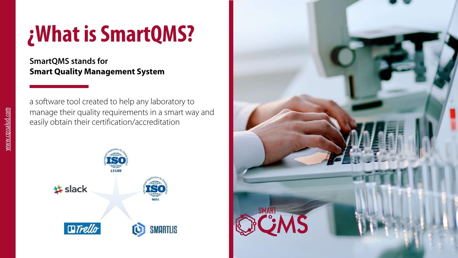## **¿What isSmartQMS?**

**SmartQMS stands for Smart Quality Management System**

a software tool created to help any laboratory to manage their quality requirements in a smart way and easily obtain their certification/accreditation



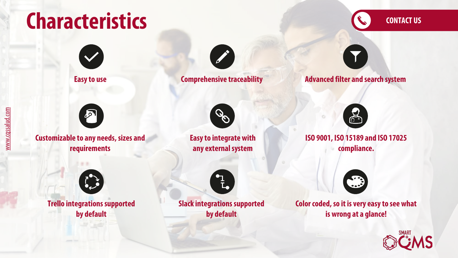# **Characteristics**

**[CONTACT US](https://www.cqssalud.com/en/demo-smartqms-eng/)**







**Customizable to any needs, sizes and requirements**

 $\mathbb{Z}$ 



**Trello integrations supported by default**

**Easyto integrate with any externalsystem**



**Easyto use Comprehensive traceability Advanced filter and search system**



**ISO 9001, ISO 15189 and ISO 17025 compliance.**



**Slack integrations supported by default**



**Color coded, so it isvery easyto see what is wrong at a glance!**

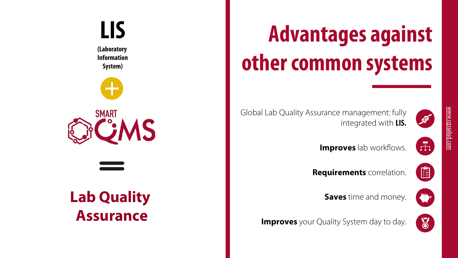# **Advantages against othercommon systems**

 $\widehat{\mathscr{P}}$ 

integrated with **LIS.**

Global Lab Quality Assurance management: fully

**Improves** lab workflows.

**Requirements** correlation.



 $\bullet$ 

 $\delta$ 

 $\overline{r}$ 

**Saves** time and money.

**Improves** your Quality System day to day.



**(Laboratory Information System)**







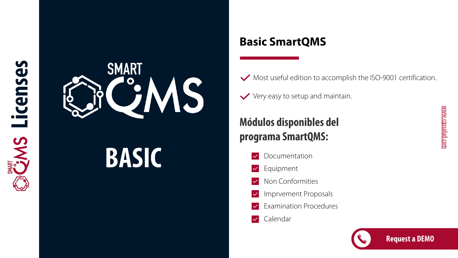

# **BASIC**

## **Basic SmartQMS**

- Most useful edition to accomplish the ISO -9001 certification .
- $\vee$  Very easy to setup and maintain. .

## **Módulos disponibles del programa SmartQMS :**

- Documentation  $\overline{\vee}$
- Equipment  $\checkmark$
- Non Conformities  $\overline{\vee}$
- Imprvement Proposals  $\overline{\vee}$
- Examination Procedures  $\checkmark$
- Calendar  $\vert\downarrow\vert$

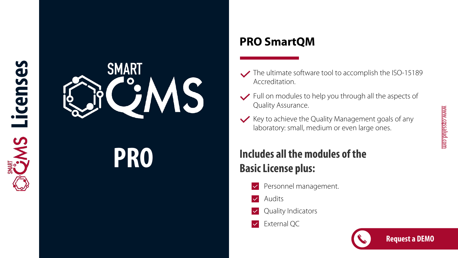

# **PRO**

## **PRO SmartQM**

- The ultimate software tool to accomplish the ISO -15189 Accreditation .
- $\blacktriangleright$  Full on modules to help you through all the aspects of Quality Assurance .
- $\vee$  Key to achieve the Quality Management goals of any laboratory: small, medium or even large ones .

## **Includes all themodules of the Basic License plus:**

- Personnel management .  $\checkmark$
- Audits  $\overline{\vee}$
- Quality Indicators  $\checkmark$
- External QC  $\vert\downarrow\vert$

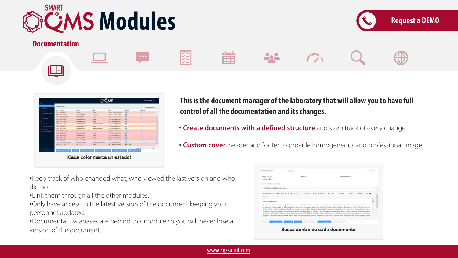

**Documentation**





**This is the documentmanager of the laboratorythat will allow you to have full control of all the documentation and its changes.**

202

- **Create documents with a defined structure** and keep track of every change.
- **Custom cover**, header and footer to provide homogeneous and professional image.

•Keep track of who changed what, who viewed the last version and who did not.

**KKK** 

•Link them through all the other modules.

•Only have access to the latest version of the document keeping your personnel updated.

•Documental Databases are behind this module so you will never lose a version of the document.



爵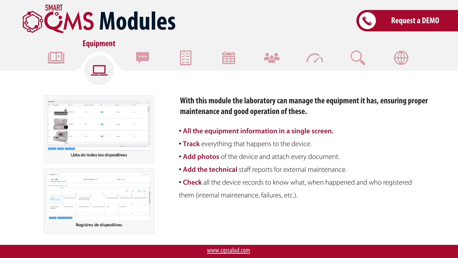

**Equipment**





**With thismodule the laboratorycan manage the equipment it has, ensuring proper maintenance and good operation of these.**

• **All the equipment information in a single screen.**

202

• **Track** everything that happens to the device.

篇

E

 $\begin{array}{|c|c|c|}\hline \multicolumn{1}{|c|}{\bullet} & \multicolumn{1}{|c|}{\bullet} & \multicolumn{1}{|c|}{\bullet} \end{array}$ 

- **Add photos** of the device and attach every document.
- **Add the technical** staff reports for external maintenance.
- **Check** all the device records to know what, when happened and who registered them (internal maintenance, failures, etc.).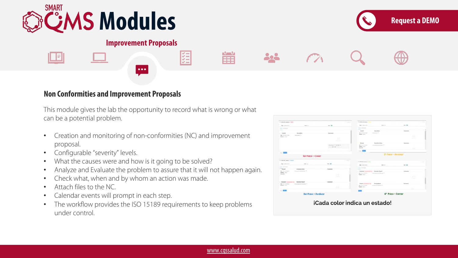



#### **Improvement Proposals**

 $\bullet\bullet\bullet$ 



This module gives the lab the opportunity to record what is wrong or what can be a potential problem.

**KKK** 

- Creation and monitoring of non-conformities (NC) and improvement proposal.
- Configurable "severity" levels.
- What the causes were and how is it going to be solved?
- Analyze and Evaluate the problem to assure that it will not happen again.
- Check what, when and by whom an action was made.
- Attach files to the NC.
- Calendar events will prompt in each step.
- The workflow provides the ISO 15189 requirements to keep problems under control.

| V JOSEN Annual Times                        |                           | 1.5001             | 6. 2000 BCAuses 7. Terry                                        | <b>Lights</b>    |  |  |
|---------------------------------------------|---------------------------|--------------------|-----------------------------------------------------------------|------------------|--|--|
| <b>Digit Lubration</b>                      | Send Low                  | test (MI)          | <b>State form</b><br><b>Ballis, Justice Annis</b>               | - 36             |  |  |
| factory McAdoores'                          |                           |                    | Sales Montered<br><b>Contract Contract</b>                      |                  |  |  |
|                                             |                           |                    | $-$ : Created<br>Description                                    | Gamesma          |  |  |
| $-$ Grassel                                 | <b>Bearings</b>           | Conseres           | Asian Age 18<br>the croise road                                 |                  |  |  |
| Tele 101-8-5-1-6-6                          | Installation 17           |                    | <b>Traited</b> Colors                                           | ю.               |  |  |
| <b>Basical Editor</b>                       |                           | ÷                  |                                                                 |                  |  |  |
|                                             |                           | Service of the     |                                                                 |                  |  |  |
|                                             |                           |                    | <b>Cleverities Andreas</b><br>Rental                            | Externetic       |  |  |
|                                             |                           | Stairte, It & W.D. | transmission industries. A<br>last continue to all              |                  |  |  |
|                                             |                           | $-1444$            | <b>Testing Council</b><br><b>Supplier</b>                       |                  |  |  |
|                                             |                           |                    | <b>Contract</b>                                                 |                  |  |  |
| $-50$                                       |                           |                    |                                                                 |                  |  |  |
|                                             | ler Paso - Crear          |                    | 2 <sup>*</sup> Paso - Revisar                                   |                  |  |  |
| 40 Johnson Mc Automatic Processor           |                           | $1 - 0.4$          | W. CHARLES AND ANGELES & THEFT                                  | ---              |  |  |
| Web concentration                           | <b>Send the</b>           | $m-100$            |                                                                 |                  |  |  |
| <b>Search of Construction</b>               |                           |                    | <b>New European</b><br>speed to a                               | top: 385.        |  |  |
| <b>Busined</b>                              | Consulto Adres            | Samkweig           | <b>Transport of the processes</b>                               |                  |  |  |
| <b>Harry Hollens</b> & Mark                 | premiers exceptional 15   |                    | <b>Extend Constitution Industry Aspect</b>                      | Estatent         |  |  |
| <b>England</b> School<br><b>Branchiller</b> |                           |                    | <b>Ban School School</b><br>because the device that company of  |                  |  |  |
|                                             |                           | s                  | Support Lotus                                                   | 53               |  |  |
|                                             |                           |                    |                                                                 | <b>Supported</b> |  |  |
| <b>Technology</b> (Construction)            | Enalushian Regard         | Connecto           |                                                                 |                  |  |  |
| <b>But the mid-brink</b>                    | Sciences Artistaneous F   |                    | Good Commercial<br><b>Cleanup Report</b>                        | Elektrick        |  |  |
| Electronic contents                         |                           | o                  | be arrivated.<br>Science School and P<br><b>Explant</b> Trailer |                  |  |  |
|                                             |                           |                    |                                                                 |                  |  |  |
| - 1                                         |                           |                    |                                                                 |                  |  |  |
|                                             | <b>3er Paso - Evaluar</b> |                    | 4° Paso - Cerrar                                                |                  |  |  |
|                                             |                           |                    |                                                                 |                  |  |  |
|                                             |                           |                    |                                                                 |                  |  |  |
|                                             |                           |                    | iCada color indica un estado!                                   |                  |  |  |
|                                             |                           |                    |                                                                 |                  |  |  |

篇

202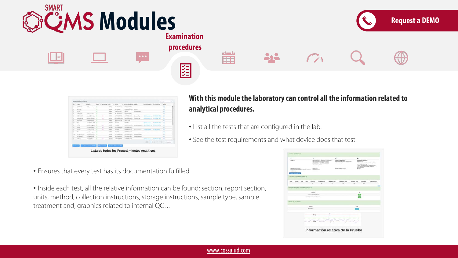

| w                        | Codes 1                     | <b>Newslett</b> ::       |   | Amer. T. Acedeald, Tax. | ×             | launas 2                                                         | 17 Secretar Engineers (19 Markusky) |                         | Departments also L. Dec. Analysis - |                              | <b>Celula</b> |  |
|--------------------------|-----------------------------|--------------------------|---|-------------------------|---------------|------------------------------------------------------------------|-------------------------------------|-------------------------|-------------------------------------|------------------------------|---------------|--|
| $\overline{a}$           | CATING                      | 11-December 31           |   |                         | Shama         |                                                                  | RRUSSALESSES  WANTED FUNCTI         |                         |                                     |                              | ۰             |  |
|                          | GP-1.85                     |                          | ۰ |                         | <b>SIMILE</b> | <b>EPROMATI</b>                                                  | PRIDATIVES.                         | SIMIL                   |                                     |                              | ٠             |  |
| ż                        | <b>TACKY</b>                |                          | ۰ |                         | matur         | TOMOROUGH.<br><b>CONTRACTOR</b>                                  | <b>DRAG</b>                         | Republicans Manager     |                                     |                              | ٠             |  |
| ٠                        | COSTERIO                    | 71 Electromagnitude  172 |   |                         | SAFLE         | PRUSSIAN PURSOL                                                  | <b>PALKISAIS FURNITS</b>            |                         |                                     |                              | ÷             |  |
| $\overline{\phantom{a}}$ | <b>Attendal</b>             | AL 46 1911 AL .- 15      |   | ٠                       | <b>MARALE</b> | <b>JUSTINER RUNAL</b>                                            | ALCOHOL: NORTH                      | Installation Capit      |                                     | www. College to              | ٠             |  |
| $\mathbb{N}$             | <b>GALLERCIA</b>            | By with marking. 17      |   | ٠                       | matco         | summakersm.                                                      | AUTOMAKERS                          | Government and it       | 2 Automobile C. Waldell 188         |                              | ٠             |  |
| ٠                        | <i><b><i>ACRAAN</i></b></i> | do anti-parados - 151    |   |                         | heature       | <b>MINIMUM ARE:</b>                                              | <b>SHOWAGE</b>                      |                         |                                     |                              | $\alpha$      |  |
| n                        | <b>ESSA</b>                 | ACAND-builter III        |   |                         | <b>ASCELL</b> | <b>MAGNO</b>                                                     | <b>SELENCE</b>                      |                         | Z. Johnson L. C. Children 108       |                              | $\alpha$      |  |
| $\sim$                   | $-10$                       | ALMRRIVEL, O             |   | ٠                       | TRAFLE        | <b>TAOES</b>                                                     | <b>HURSDALLT:</b>                   | Stationers and the      | 2 Altright, CAESTIC                 |                              | ÷             |  |
| $\sim$                   | <b>SATE</b>                 | As instruction 17        |   | ۰                       | <b>RODUC</b>  | AUTOMAKERS, AUTOMAKERS,                                          |                                     |                         |                                     |                              | ÷             |  |
| ×                        | actes                       | Ar will particula . 22   |   | ٠                       | SARLE         | <b>ISOZES</b>                                                    | <b>HORSEMALTIC</b>                  |                         | Secondary, A HTC200C, CARSON'L,     |                              | ۵             |  |
| si                       | $\sim$                      | At anti-senated. 17      |   |                         | 18451.0       | 180EE1                                                           | ANTHOLE SALE TO                     |                         |                                     |                              | ۰             |  |
| 100                      | astesiatts:                 | at still lines it. It    |   |                         | <b>TARFEE</b> | ALTERNATIVE.                                                     | AUTOMATICS.                         | <b>Johnson Puressin</b> |                                     |                              | a             |  |
| n                        | <b>JAETHIANTIS</b>          | acautings, in            |   |                         | <b>SAMIL</b>  | ALTERAAJA ALTERA                                                 | AUTOMARINE                          | Grammation and          |                                     |                              | ٠             |  |
| $\overline{a}$           | <b>ACROSS</b>               | AC MATI-REVLA  (III)     |   | ٠                       | <b>MORA</b>   | 1470144-0-0-0<br>bank of the formula of a life of the production | AUTOMAKER                           |                         | a national control to a             |                              | ٠             |  |
|                          |                             |                          |   |                         |               |                                                                  |                                     |                         |                                     | 2022 2 2 3 4 3 4 3 5 7 years |               |  |
|                          |                             | painters to see painting |   | <b>Marm 136</b>         |               | <b>Distance &amp; Service With</b>                               |                                     |                         |                                     |                              |               |  |

**With thismodule the laboratorycan control all the information related to analytical procedures.**

- List all the tests that are configured in the lab.
- See the test requirements and what device does that test.
- Ensures that every test has its documentation fulfilled.
- Inside each test, all the relative information can be found: section, report section, units, method, collection instructions, storage instructions, sample type, sample treatment and, graphics related to internal QC…

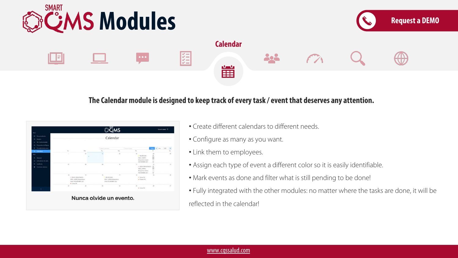

#### **The Calendar module is designed to keep track of everytask / event that deserves any attention.**



- Create different calendars to different needs.
- Configure as many as you want.
- Link them to employees.
- Assign each type of event a different color so it is easily identifiable.
- Mark events as done and filter what is still pending to be done!
- Fully integrated with the other modules: no matter where the tasks are done, it will be reflected in the calendar!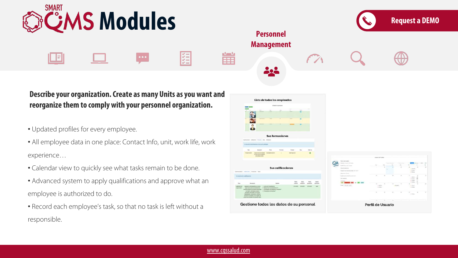

## **Describe your organization. Create as many Units as you want and reorganize themto comply with your personnel organization.**

- Updated profiles for every employee.
- All employee data in one place: Contact Info, unit, work life, work experience…
- Calendar view to quickly see what tasks remain to be done.
- Advanced system to apply qualifications and approve what an employee is authorized to do.
- Record each employee's task, so that no task is left without a responsible.

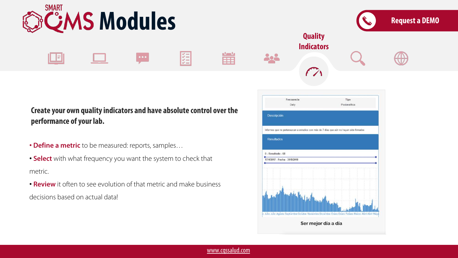

#### **Create your own qualityindicators and have absolute control over the performance of your lab.**

- **Define a metric** to be measured: reports, samples…
- **Select** with what frequency you want the system to check that metric.
- **Review** it often to see evolution of that metric and make business decisions based on actual data!

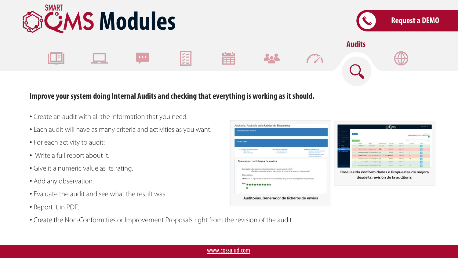

#### **Improve yoursystemdoing Internal Audits and checking that everything is working as itshould.**

- Create an audit with all the information that you need.
- Each audit will have as many criteria and activities as you want.
- For each activity to audit:
- Write a full report about it.
- Give it a numeric value as its rating.
- Add any observation.
- Evaluate the audit and see what the result was.
- Report it in PDF.





www.cqssalud.com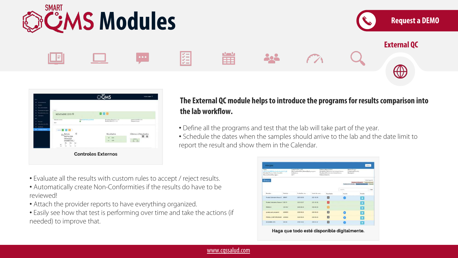

| <b>POLICE</b><br><b>Standards</b><br>Ne Conformations                     | <b>COLOR</b>                                                                                                                       |                                                                                                 |                                                                                        |                                               |
|---------------------------------------------------------------------------|------------------------------------------------------------------------------------------------------------------------------------|-------------------------------------------------------------------------------------------------|----------------------------------------------------------------------------------------|-----------------------------------------------|
| <b>Research &amp; Major</b><br><b>Received construction</b><br>Calendario | NOVIEMBRE 2019 O                                                                                                                   |                                                                                                 | 000                                                                                    |                                               |
| Amount of<br>indications de calif.<br>Authors:                            | Sheve European<br><b>MAY</b>                                                                                                       | <b>General Library Alberta</b><br><b>The Company's Company's Company's Company's</b><br>$\circ$ | <b>Recording Eldes/271-11-11</b><br><b>Results, Dates 2219-11-25</b><br>an an Trìomhai | Selectivity-to Artist 2010<br>Programmidergoe |
| <b>Committee</b>                                                          | \$234<br>Ö<br>$20^{Bettula}$<br>berrucosa<br>(Abedul)<br>(13ABEDUL)<br><b>Sku</b><br>Opt<br>÷<br>x.<br><b>STAR</b><br>$\sim$<br>mi |                                                                                                 | Resultados<br>8.25<br>1,86<br>$-1$                                                     | <b>Ultimos 4 Resultados</b><br>田 日<br>盖尔      |

### **The External QC module helps to introduce the programs for resultscomparison into the lab workflow.**

- Define all the programs and test that the lab will take part of the year.
- Schedule the dates when the samples should arrive to the lab and the date limit to report the result and show them in the Calendar.
- Evaluate all the results with custom rules to accept / reject results.
- Automatically create Non-Conformities if the results do have to be reviewed!
- Attach the provider reports to have everything organized.
- Easily see how that test is performing over time and take the actions (if needed) to improve that.

| Testo<br>#241PLONICOURT=Madun10UFLat<br>Pennislavi Thomas Fiziker Scheekthi<br>Nos Contemities, Type- |          | Collection of the Sea<br>Ban Confurnities Rature Bylls program.<br>Activative<br>fart: |                   | Fathert Value (11032)<br>Rangetise, CabCormol de Catalan Estamo<br>Renalty, CaliCormul de Cabitud Titerro.<br><b>Patteon Stehlands</b> |         | <b>Name</b> sliargias<br>Frequency/Martilda<br>Wantaphra 7                                                                         |  |  |
|-------------------------------------------------------------------------------------------------------|----------|----------------------------------------------------------------------------------------|-------------------|----------------------------------------------------------------------------------------------------------------------------------------|---------|------------------------------------------------------------------------------------------------------------------------------------|--|--|
| <b>Cisiond</b>                                                                                        |          |                                                                                        |                   |                                                                                                                                        |         | <b>Hida Jegenda</b><br>Fandante de Bargonda . Fendrone de anoia<br>Pendoros de restituírio (Pidelbara de aux<br><b>El Systemia</b> |  |  |
|                                                                                                       |          |                                                                                        |                   |                                                                                                                                        | Sauren. | Clear                                                                                                                              |  |  |
| Newther.                                                                                              | Feridian | Tacha list, visc                                                                       | Tacha liss, ages. | Emitteba                                                                                                                               | Accide  | Detalle                                                                                                                            |  |  |
| Procha Calendario Nueva Z 90867                                                                       |          | 2021-01-08                                                                             | 2021-02-08        | 吅                                                                                                                                      |         | $\bullet$                                                                                                                          |  |  |
| Pruebix Calendarius Nuevos 1 585273                                                                   |          | 2021-62-07                                                                             | 2021-02-08        | п                                                                                                                                      |         | $\bullet$                                                                                                                          |  |  |
| 201003-01                                                                                             | 22110581 | 2520-08-29                                                                             | 2520-08-29        |                                                                                                                                        |         | $\bullet$                                                                                                                          |  |  |
| productor that starts                                                                                 | 22008261 | 3500-00-28                                                                             | 2020-08-28        | Ð                                                                                                                                      |         | $\bullet$                                                                                                                          |  |  |
| <b>ARUESA START PROGRAM</b>                                                                           | 22006262 | 3520-08-28                                                                             | 3500-08-28        | n                                                                                                                                      |         | $\bullet$                                                                                                                          |  |  |
| <b><i>DICIEMENE 2019</i></b>                                                                          | H12418   | 3916-12-02                                                                             | 2019-15-31        | 四                                                                                                                                      |         | $\overline{\bullet}$                                                                                                               |  |  |